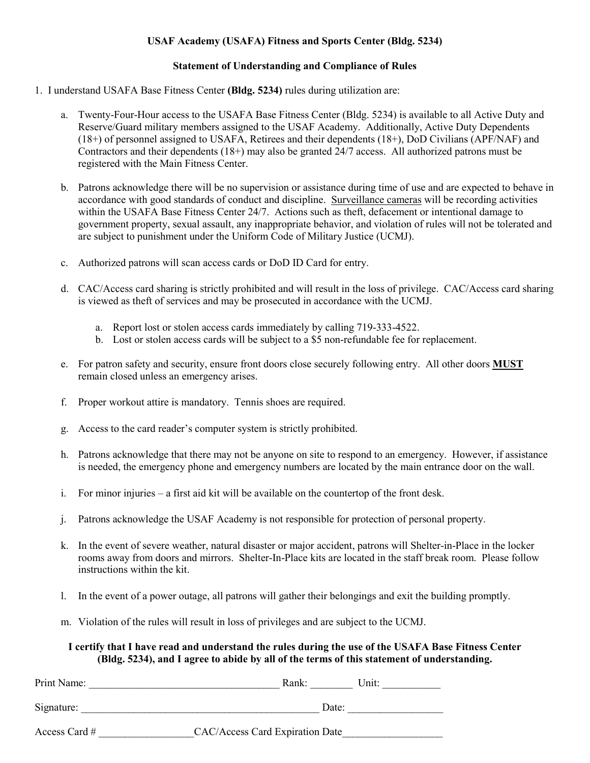# **USAF Academy (USAFA) Fitness and Sports Center (Bldg. 5234)**

#### **Statement of Understanding and Compliance of Rules**

- 1. I understand USAFA Base Fitness Center **(Bldg. 5234)** rules during utilization are:
	- a. Twenty-Four-Hour access to the USAFA Base Fitness Center (Bldg. 5234) is available to all Active Duty and Reserve/Guard military members assigned to the USAF Academy. Additionally, Active Duty Dependents (18+) of personnel assigned to USAFA, Retirees and their dependents (18+), DoD Civilians (APF/NAF) and Contractors and their dependents (18+) may also be granted 24/7 access. All authorized patrons must be registered with the Main Fitness Center.
	- b. Patrons acknowledge there will be no supervision or assistance during time of use and are expected to behave in accordance with good standards of conduct and discipline. Surveillance cameras will be recording activities within the USAFA Base Fitness Center 24/7. Actions such as theft, defacement or intentional damage to government property, sexual assault, any inappropriate behavior, and violation of rules will not be tolerated and are subject to punishment under the Uniform Code of Military Justice (UCMJ).
	- c. Authorized patrons will scan access cards or DoD ID Card for entry.
	- d. CAC/Access card sharing is strictly prohibited and will result in the loss of privilege. CAC/Access card sharing is viewed as theft of services and may be prosecuted in accordance with the UCMJ.
		- a. Report lost or stolen access cards immediately by calling 719-333-4522.
		- b. Lost or stolen access cards will be subject to a \$5 non-refundable fee for replacement.
	- e. For patron safety and security, ensure front doors close securely following entry. All other doors **MUST** remain closed unless an emergency arises.
	- f. Proper workout attire is mandatory. Tennis shoes are required.
	- g. Access to the card reader's computer system is strictly prohibited.
	- h. Patrons acknowledge that there may not be anyone on site to respond to an emergency. However, if assistance is needed, the emergency phone and emergency numbers are located by the main entrance door on the wall.
	- i. For minor injuries a first aid kit will be available on the countertop of the front desk.
	- j. Patrons acknowledge the USAF Academy is not responsible for protection of personal property.
	- k. In the event of severe weather, natural disaster or major accident, patrons will Shelter-in-Place in the locker rooms away from doors and mirrors. Shelter-In-Place kits are located in the staff break room. Please follow instructions within the kit.
	- l. In the event of a power outage, all patrons will gather their belongings and exit the building promptly.
	- m. Violation of the rules will result in loss of privileges and are subject to the UCMJ.

# **I certify that I have read and understand the rules during the use of the USAFA Base Fitness Center (Bldg. 5234), and I agree to abide by all of the terms of this statement of understanding.**

| Print Name:     | Unit:<br>Rank:                  |
|-----------------|---------------------------------|
| Signature:      | Date:                           |
| Access Card $#$ | CAC/Access Card Expiration Date |